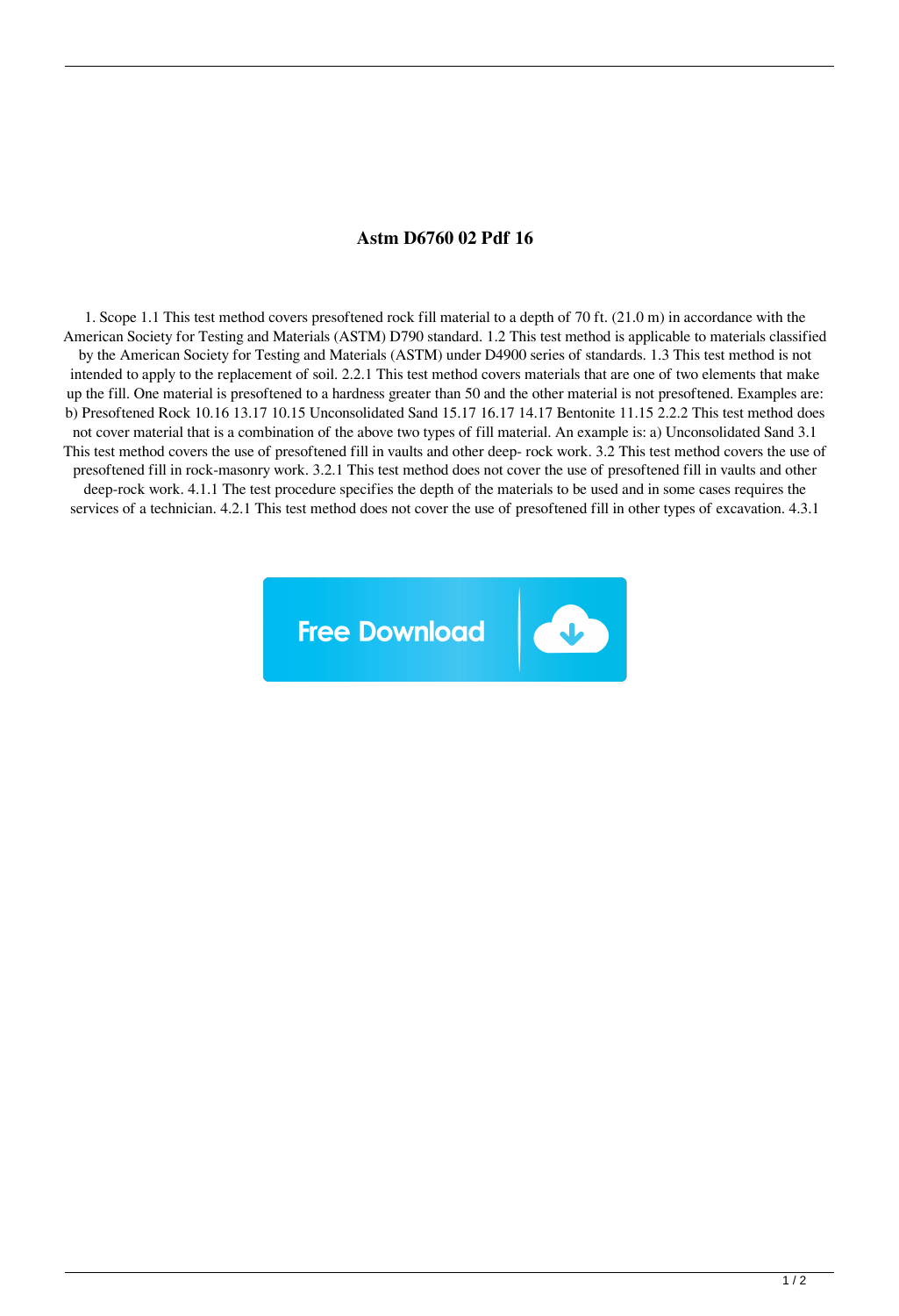## **Astm D6760 02 Pdf 16**

1. Scope 1.1 This test method covers presoftened rock fill material to a depth of 70 ft. (21.0 m) in accordance with the American Society for Testing and Materials (ASTM) D790 standard. 1.2 This test method is applicable to materials classified by the American Society for Testing and Materials (ASTM) under D4900 series of standards. 1.3 This test method is not intended to apply to the replacement of soil. 2.2.1 This test method covers materials that are one of two elements that make up the fill. One material is presoftened to a hardness greater than 50 and the other material is not presoftened. Examples are: b) Presoftened Rock 10.16 13.17 10.15 Unconsolidated Sand 15.17 16.17 14.17 Bentonite 11.15 2.2.2 This test method does not cover material that is a combination of the above two types of fill material. An example is: a) Unconsolidated Sand 3.1 This test method covers the use of presoftened fill in vaults and other deep- rock work. 3.2 This test method covers the use of presoftened fill in rock-masonry work. 3.2.1 This test method does not cover the use of presoftened fill in vaults and other deep-rock work. 4.1.1 The test procedure specifies the depth of the materials to be used and in some cases requires the services of a technician. 4.2.1 This test method does not cover the use of presoftened fill in other types of excavation. 4.3.1